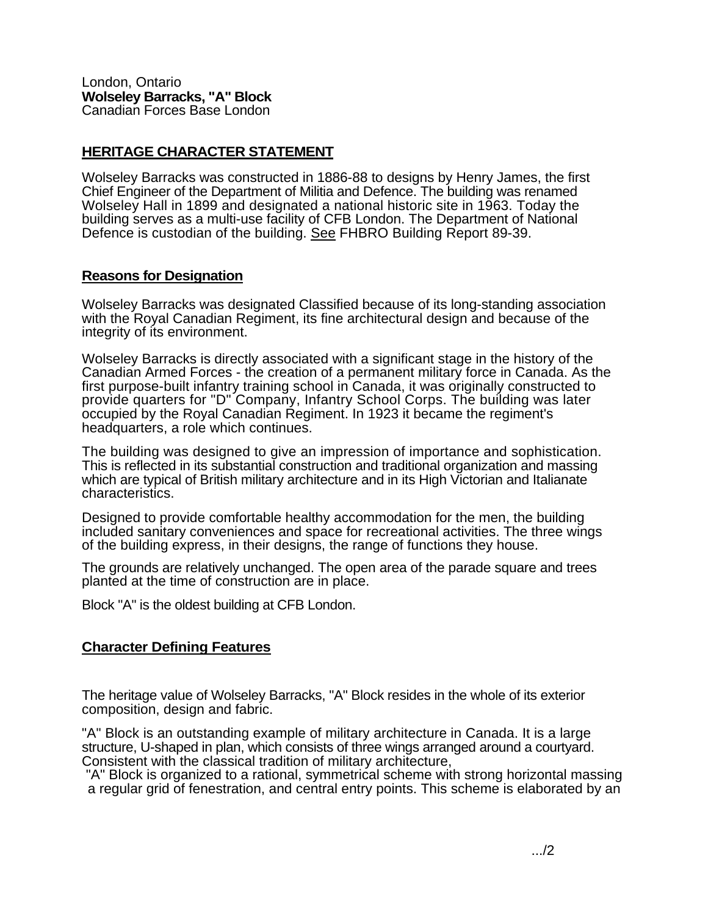London, Ontario **Wolseley Barracks, "A" Block**  Canadian Forces Base London

## **HERITAGE CHARACTER STATEMENT**

Wolseley Barracks was constructed in 1886-88 to designs by Henry James, the first Chief Engineer of the Department of Militia and Defence. The building was renamed Wolseley Hall in 1899 and designated a national historic site in 1963. Today the building serves as a multi-use facility of CFB London. The Department of National Defence is custodian of the building. See FHBRO Building Report 89-39.

## **Reasons for Designation**

Wolseley Barracks was designated Classified because of its long-standing association with the Royal Canadian Regiment, its fine architectural design and because of the integrity of its environment.

Wolseley Barracks is directly associated with a significant stage in the history of the Canadian Armed Forces - the creation of a permanent military force in Canada. As the first purpose-built infantry training school in Canada, it was originally constructed to provide quarters for "D" Company, Infantry School Corps. The building was later occupied by the Royal Canadian Regiment. In 1923 it became the regiment's headquarters, a role which continues.

The building was designed to give an impression of importance and sophistication. This is reflected in its substantial construction and traditional organization and massing which are typical of British military architecture and in its High Victorian and Italianate characteristics.

Designed to provide comfortable healthy accommodation for the men, the building included sanitary conveniences and space for recreational activities. The three wings of the building express, in their designs, the range of functions they house.

The grounds are relatively unchanged. The open area of the parade square and trees planted at the time of construction are in place.

Block "A" is the oldest building at CFB London.

## **Character Defining Features**

The heritage value of Wolseley Barracks, "A" Block resides in the whole of its exterior composition, design and fabric.

"A" Block is an outstanding example of military architecture in Canada. It is a large structure, U-shaped in plan, which consists of three wings arranged around a courtyard. Consistent with the classical tradition of military architecture,

"A" Block is organized to a rational, symmetrical scheme with strong horizontal massing a regular grid of fenestration, and central entry points. This scheme is elaborated by an